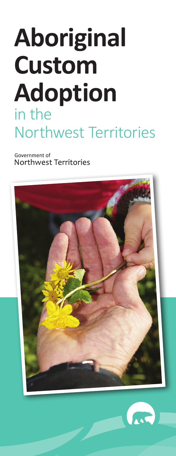## **Aboriginal Custom Adoption** in the Northwest Territories

Government of Northwest Territories



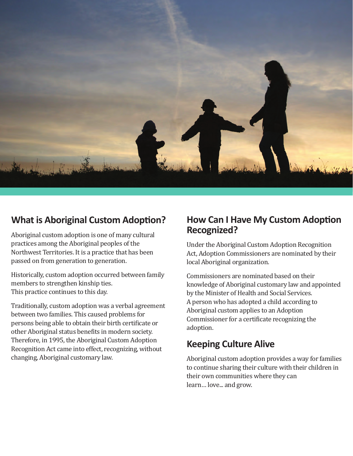

## **What is Aboriginal Custom Adoption?**

Aboriginal custom adoption is one of many cultural practices among the Aboriginal peoples of the Northwest Territories. It is a practice that has been passed on from generation to generation.

Historically, custom adoption occurred between family members to strengthen kinship ties. This practice continues to this day.

Traditionally, custom adoption was a verbal agreement between two families. This caused problems for persons being able to obtain their birth certificate or other Aboriginal status benefits in modern society. Therefore, in 1995, the Aboriginal Custom Adoption Recognition Act came into effect, recognizing, without changing, Aboriginal customary law.

## **How Can I Have My Custom Adoption Recognized?**

Under the Aboriginal Custom Adoption Recognition Act, Adoption Commissioners are nominated by their local Aboriginal organization.

Commissioners are nominated based on their knowledge of Aboriginal customary law and appointed by the Minister of Health and Social Services. A person who has adopted a child according to Aboriginal custom applies to an Adoption Commissioner for a certificate recognizing the adoption.

## **Keeping Culture Alive**

Aboriginal custom adoption provides a way for families to continue sharing their culture with their children in their own communities where they can learn… love... and grow.